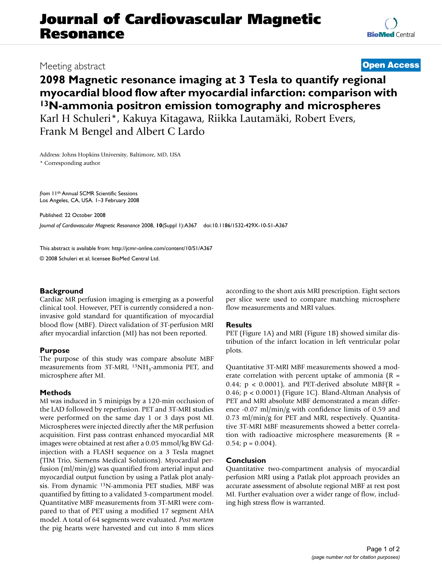# **Journal of Cardiovascular Magnetic Resonance**

### Meeting abstract **[Open Access](http://www.biomedcentral.com/info/about/charter/)**

## **2098 Magnetic resonance imaging at 3 Tesla to quantify regional myocardial blood flow after myocardial infarction: comparison with 13N-ammonia positron emission tomography and microspheres**

Karl H Schuleri\*, Kakuya Kitagawa, Riikka Lautamäki, Robert Evers, Frank M Bengel and Albert C Lardo

Address: Johns Hopkins University, Baltimore, MD, USA \* Corresponding author

*from* 11th Annual SCMR Scientific Sessions Los Angeles, CA, USA. 1–3 February 2008

Published: 22 October 2008 *Journal of Cardiovascular Magnetic Resonance* 2008, **10**(Suppl 1):A367 doi:10.1186/1532-429X-10-S1-A367

[This abstract is available from: http://jcmr-online.com/content/10/S1/A367](http://jcmr-online.com/content/10/S1/A367)

© 2008 Schuleri et al; licensee BioMed Central Ltd.

### **Background**

Cardiac MR perfusion imaging is emerging as a powerful clinical tool. However, PET is currently considered a noninvasive gold standard for quantification of myocardial blood flow (MBF). Direct validation of 3T-perfusion MRI after myocardial infarction (MI) has not been reported.

### **Purpose**

The purpose of this study was compare absolute MBF measurements from 3T-MRI, <sup>13</sup>NH<sub>3</sub>-ammonia PET, and microsphere after MI.

### **Methods**

MI was induced in 5 minipigs by a 120-min occlusion of the LAD followed by reperfusion. PET and 3T-MRI studies were performed on the same day 1 or 3 days post MI. Microspheres were injected directly after the MR perfusion acquisition. First pass contrast enhanced myocardial MR images were obtained at rest after a 0.05 mmol/kg BW Gdinjection with a FLASH sequence on a 3 Tesla magnet (TIM Trio, Siemens Medical Solutions). Myocardial perfusion (ml/min/g) was quantified from arterial input and myocardial output function by using a Patlak plot analysis. From dynamic 13N-ammonia PET studies, MBF was quantified by fitting to a validated 3-compartment model. Quantitative MBF measurements from 3T-MRI were compared to that of PET using a modified 17 segment AHA model. A total of 64 segments were evaluated. *Post mortem* the pig hearts were harvested and cut into 8 mm slices according to the short axis MRI prescription. Eight sectors per slice were used to compare matching microsphere flow measurements and MRI values.

### **Results**

PET (Figure 1A) and MRI (Figure 1B) showed similar distribution of the infarct location in left ventricular polar plots.

Quantitative 3T-MRI MBF measurements showed a moderate correlation with percent uptake of ammonia  $(R =$ 0.44;  $p < 0.0001$ ), and PET-derived absolute MBF(R = 0.46; p < 0.0001) (Figure 1C). Bland-Altman Analysis of PET and MRI absolute MBF demonstrated a mean difference -0.07 ml/min/g with confidence limits of 0.59 and 0.73 ml/min/g for PET and MRI, respectively. Quantitative 3T-MRI MBF measurements showed a better correlation with radioactive microsphere measurements  $(R =$  $0.54$ ;  $p = 0.004$ ).

### **Conclusion**

Quantitative two-compartment analysis of myocardial perfusion MRI using a Patlak plot approach provides an accurate assessment of absolute regional MBF at rest post MI. Further evaluation over a wider range of flow, including high stress flow is warranted.